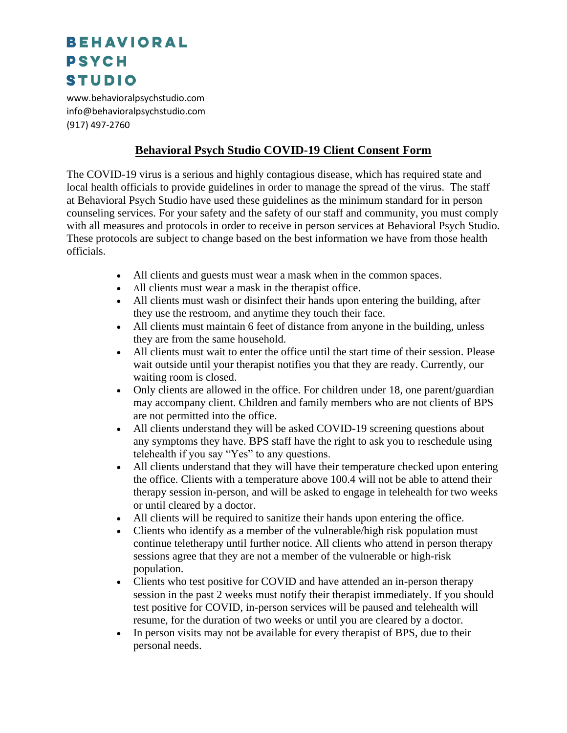## **BEHAVIORAL PSYCH STUDIO**

www.behavioralpsychstudio.com info@behavioralpsychstudio.com (917) 497-2760

## **Behavioral Psych Studio COVID-19 Client Consent Form**

The COVID-19 virus is a serious and highly contagious disease, which has required state and local health officials to provide guidelines in order to manage the spread of the virus. The staff at Behavioral Psych Studio have used these guidelines as the minimum standard for in person counseling services. For your safety and the safety of our staff and community, you must comply with all measures and protocols in order to receive in person services at Behavioral Psych Studio. These protocols are subject to change based on the best information we have from those health officials.

- All clients and guests must wear a mask when in the common spaces.
- All clients must wear a mask in the therapist office.
- All clients must wash or disinfect their hands upon entering the building, after they use the restroom, and anytime they touch their face.
- All clients must maintain 6 feet of distance from anyone in the building, unless they are from the same household.
- All clients must wait to enter the office until the start time of their session. Please wait outside until your therapist notifies you that they are ready. Currently, our waiting room is closed.
- Only clients are allowed in the office. For children under 18, one parent/guardian may accompany client. Children and family members who are not clients of BPS are not permitted into the office.
- All clients understand they will be asked COVID-19 screening questions about any symptoms they have. BPS staff have the right to ask you to reschedule using telehealth if you say "Yes" to any questions.
- All clients understand that they will have their temperature checked upon entering the office. Clients with a temperature above 100.4 will not be able to attend their therapy session in-person, and will be asked to engage in telehealth for two weeks or until cleared by a doctor.
- All clients will be required to sanitize their hands upon entering the office.
- Clients who identify as a member of the vulnerable/high risk population must continue teletherapy until further notice. All clients who attend in person therapy sessions agree that they are not a member of the vulnerable or high-risk population.
- Clients who test positive for COVID and have attended an in-person therapy session in the past 2 weeks must notify their therapist immediately. If you should test positive for COVID, in-person services will be paused and telehealth will resume, for the duration of two weeks or until you are cleared by a doctor.
- In person visits may not be available for every therapist of BPS, due to their personal needs.